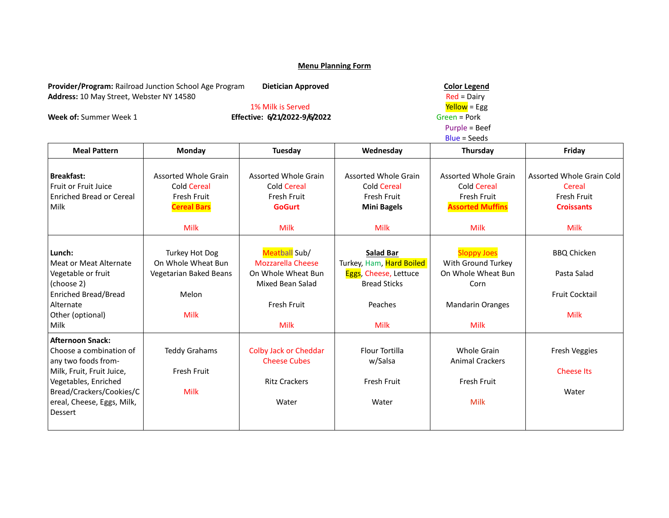| Provider/Program: Railroad Junction School Age Program<br>Address: 10 May Street, Webster NY 14580 |                                            | <b>Dietician Approved</b><br>1% Milk is Served |                                            |                                   |                           |  |  |
|----------------------------------------------------------------------------------------------------|--------------------------------------------|------------------------------------------------|--------------------------------------------|-----------------------------------|---------------------------|--|--|
| Week of: Summer Week 1                                                                             |                                            | Effective: 6/21/2022-9/6/2022                  |                                            | Yellow = Egg<br>Green = Pork      |                           |  |  |
|                                                                                                    |                                            |                                                |                                            |                                   |                           |  |  |
|                                                                                                    |                                            |                                                |                                            |                                   | $Blue = Seeds$            |  |  |
| <b>Meal Pattern</b>                                                                                | Monday                                     | Tuesday                                        | Wednesday                                  | Thursday                          | Friday                    |  |  |
|                                                                                                    |                                            |                                                |                                            |                                   |                           |  |  |
| <b>Breakfast:</b><br><b>Fruit or Fruit Juice</b>                                                   | Assorted Whole Grain<br><b>Cold Cereal</b> | Assorted Whole Grain<br><b>Cold Cereal</b>     | Assorted Whole Grain<br><b>Cold Cereal</b> | <b>Assorted Whole Grain</b>       | Assorted Whole Grain Cold |  |  |
| <b>Enriched Bread or Cereal</b>                                                                    | Fresh Fruit                                | Fresh Fruit                                    | Fresh Fruit                                | <b>Cold Cereal</b><br>Fresh Fruit | Cereal<br>Fresh Fruit     |  |  |
| Milk                                                                                               | <b>Cereal Bars</b>                         | <b>GoGurt</b>                                  | <b>Mini Bagels</b>                         | <b>Assorted Muffins</b>           | <b>Croissants</b>         |  |  |
|                                                                                                    |                                            |                                                |                                            |                                   |                           |  |  |
|                                                                                                    | <b>Milk</b>                                | <b>Milk</b>                                    | <b>Milk</b>                                | <b>Milk</b>                       | <b>Milk</b>               |  |  |
|                                                                                                    |                                            |                                                |                                            |                                   |                           |  |  |
| Lunch:                                                                                             | Turkey Hot Dog                             | Meatball Sub/                                  | <b>Salad Bar</b>                           | <b>Sloppy Joes</b>                | <b>BBQ Chicken</b>        |  |  |
| Meat or Meat Alternate                                                                             | On Whole Wheat Bun                         | <b>Mozzarella Cheese</b>                       | Turkey, Ham, Hard Boiled                   | With Ground Turkey                |                           |  |  |
| Vegetable or fruit                                                                                 | Vegetarian Baked Beans                     | On Whole Wheat Bun                             | Eggs, Cheese, Lettuce                      | On Whole Wheat Bun                | Pasta Salad               |  |  |
| (choose 2)                                                                                         |                                            | Mixed Bean Salad                               | <b>Bread Sticks</b>                        | Corn                              |                           |  |  |
| <b>Enriched Bread/Bread</b>                                                                        | Melon                                      |                                                |                                            |                                   | <b>Fruit Cocktail</b>     |  |  |
| Alternate                                                                                          |                                            | Fresh Fruit                                    | Peaches                                    | <b>Mandarin Oranges</b>           |                           |  |  |
| Other (optional)                                                                                   | <b>Milk</b>                                |                                                |                                            |                                   | <b>Milk</b>               |  |  |
| Milk                                                                                               |                                            | <b>Milk</b>                                    | <b>Milk</b>                                | <b>Milk</b>                       |                           |  |  |
| <b>Afternoon Snack:</b>                                                                            |                                            |                                                |                                            |                                   |                           |  |  |
| Choose a combination of                                                                            | <b>Teddy Grahams</b>                       | <b>Colby Jack or Cheddar</b>                   | <b>Flour Tortilla</b>                      | Whole Grain                       | Fresh Veggies             |  |  |
| any two foods from-                                                                                |                                            | <b>Cheese Cubes</b>                            | w/Salsa                                    | <b>Animal Crackers</b>            |                           |  |  |
| Milk, Fruit, Fruit Juice,                                                                          | Fresh Fruit                                |                                                |                                            |                                   | <b>Cheese Its</b>         |  |  |
| Vegetables, Enriched                                                                               |                                            | <b>Ritz Crackers</b>                           | Fresh Fruit                                | Fresh Fruit                       |                           |  |  |
| Bread/Crackers/Cookies/C                                                                           | <b>Milk</b>                                |                                                |                                            |                                   | Water                     |  |  |
| ereal, Cheese, Eggs, Milk,<br>Dessert                                                              |                                            | Water                                          | Water                                      | Milk                              |                           |  |  |
|                                                                                                    |                                            |                                                |                                            |                                   |                           |  |  |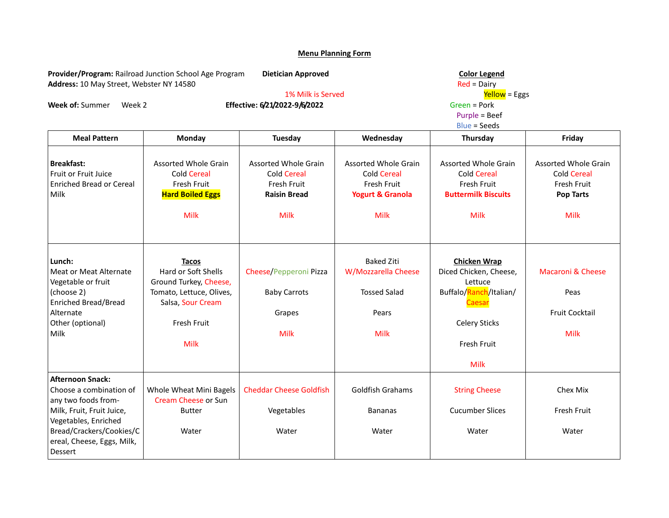**Provider/Program:** Railroad Junction School Age Program **Dietician Approved** Color Color Legend Color Legend Address: 10 May Street, Webster NY 14580 Address: 10 May Street, Webster NY 14580<br>1% Milk is Served **Red = Dairy** Red = Dairy<br><mark>Yellow</mark> = Eggs

**Week of:** Summer Week 2 **Effective: 6/21/2022-9/6/2022** Green = Pork Green = Pork Creen = Pork Purple = Beef

Purple = Beef

1% Milk is Served Yellow = Eggs

|                                                                                                                                                                                                     | <b>Blue = Seeds</b>                                                                                                                   |                                                                                                        |                                                                                                         |                                                                                                                                                    |                                                                                                     |  |
|-----------------------------------------------------------------------------------------------------------------------------------------------------------------------------------------------------|---------------------------------------------------------------------------------------------------------------------------------------|--------------------------------------------------------------------------------------------------------|---------------------------------------------------------------------------------------------------------|----------------------------------------------------------------------------------------------------------------------------------------------------|-----------------------------------------------------------------------------------------------------|--|
| <b>Meal Pattern</b>                                                                                                                                                                                 | Monday                                                                                                                                | <b>Tuesday</b>                                                                                         | Wednesday                                                                                               | Thursday                                                                                                                                           | Friday                                                                                              |  |
| <b>Breakfast:</b><br><b>Fruit or Fruit Juice</b><br><b>Enriched Bread or Cereal</b><br>Milk                                                                                                         | <b>Assorted Whole Grain</b><br><b>Cold Cereal</b><br>Fresh Fruit<br><b>Hard Boiled Eggs</b><br>Milk                                   | <b>Assorted Whole Grain</b><br><b>Cold Cereal</b><br>Fresh Fruit<br><b>Raisin Bread</b><br><b>Milk</b> | <b>Assorted Whole Grain</b><br><b>Cold Cereal</b><br>Fresh Fruit<br><b>Yogurt &amp; Granola</b><br>Milk | <b>Assorted Whole Grain</b><br><b>Cold Cereal</b><br>Fresh Fruit<br><b>Buttermilk Biscuits</b><br>Milk                                             | <b>Assorted Whole Grain</b><br><b>Cold Cereal</b><br>Fresh Fruit<br><b>Pop Tarts</b><br><b>Milk</b> |  |
| Lunch:<br><b>Meat or Meat Alternate</b><br>Vegetable or fruit<br>(choose 2)<br>Enriched Bread/Bread<br>Alternate<br>Other (optional)<br>Milk                                                        | <b>Tacos</b><br>Hard or Soft Shells<br>Ground Turkey, Cheese,<br>Tomato, Lettuce, Olives,<br>Salsa, Sour Cream<br>Fresh Fruit<br>Milk | Cheese/Pepperoni Pizza<br><b>Baby Carrots</b><br>Grapes<br>Milk                                        | <b>Baked Ziti</b><br>W/Mozzarella Cheese<br><b>Tossed Salad</b><br>Pears<br><b>Milk</b>                 | <b>Chicken Wrap</b><br>Diced Chicken, Cheese,<br>Lettuce<br>Buffalo/Ranch/Italian/<br>Caesar<br><b>Celery Sticks</b><br>Fresh Fruit<br><b>Milk</b> | <b>Macaroni &amp; Cheese</b><br>Peas<br><b>Fruit Cocktail</b><br>Milk                               |  |
| <b>Afternoon Snack:</b><br>Choose a combination of<br>any two foods from-<br>Milk, Fruit, Fruit Juice,<br>Vegetables, Enriched<br>Bread/Crackers/Cookies/C<br>ereal, Cheese, Eggs, Milk,<br>Dessert | Whole Wheat Mini Bagels<br>Cream Cheese or Sun<br><b>Butter</b><br>Water                                                              | <b>Cheddar Cheese Goldfish</b><br>Vegetables<br>Water                                                  | <b>Goldfish Grahams</b><br><b>Bananas</b><br>Water                                                      | <b>String Cheese</b><br><b>Cucumber Slices</b><br>Water                                                                                            | Chex Mix<br>Fresh Fruit<br>Water                                                                    |  |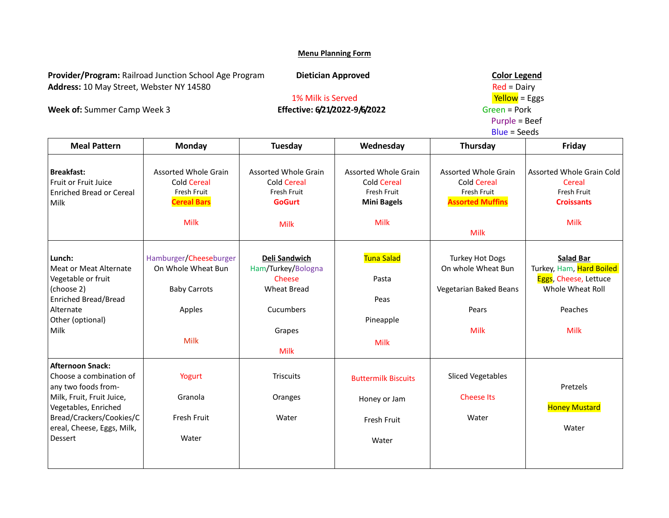**Provider/Program:** Railroad Junction School Age Program **Dietician Approved** Color Color Legend Address: 10 May Street, Webster NY 14580 Red = Dairy

# **Week of:** Summer Camp Week 3 **Effective: 6/21/2022-9/6/2022** Green = Pork<br>Purple = Beef

# 1% Milk is Served and the Served of the Vellow = Eggs<br>
Effective: 6/21/2022-9/6/2022 Green = Pork

## Purple = Beef

|                                                                                                                                                                                                     |                                                                                              |                                                                                                           |                                                                                        | <b>Blue = Seeds</b>                                                                            |                                                                                                                     |
|-----------------------------------------------------------------------------------------------------------------------------------------------------------------------------------------------------|----------------------------------------------------------------------------------------------|-----------------------------------------------------------------------------------------------------------|----------------------------------------------------------------------------------------|------------------------------------------------------------------------------------------------|---------------------------------------------------------------------------------------------------------------------|
| <b>Meal Pattern</b>                                                                                                                                                                                 | Monday                                                                                       | <b>Tuesday</b>                                                                                            | Wednesday                                                                              | Thursday                                                                                       | Friday                                                                                                              |
| <b>Breakfast:</b><br>Fruit or Fruit Juice<br><b>Enriched Bread or Cereal</b><br>Milk                                                                                                                | <b>Assorted Whole Grain</b><br><b>Cold Cereal</b><br>Fresh Fruit<br><b>Cereal Bars</b>       | <b>Assorted Whole Grain</b><br><b>Cold Cereal</b><br>Fresh Fruit<br><b>GoGurt</b>                         | <b>Assorted Whole Grain</b><br><b>Cold Cereal</b><br>Fresh Fruit<br><b>Mini Bagels</b> | <b>Assorted Whole Grain</b><br><b>Cold Cereal</b><br>Fresh Fruit<br><b>Assorted Muffins</b>    | Assorted Whole Grain Cold<br>Cereal<br>Fresh Fruit<br><b>Croissants</b>                                             |
|                                                                                                                                                                                                     | <b>Milk</b>                                                                                  | <b>Milk</b>                                                                                               | Milk                                                                                   | <b>Milk</b>                                                                                    | <b>Milk</b>                                                                                                         |
| Lunch:<br>Meat or Meat Alternate<br>Vegetable or fruit<br>(choose 2)<br><b>Enriched Bread/Bread</b><br>Alternate<br>Other (optional)<br>Milk                                                        | Hamburger/Cheeseburger<br>On Whole Wheat Bun<br><b>Baby Carrots</b><br>Apples<br><b>Milk</b> | Deli Sandwich<br>Ham/Turkey/Bologna<br>Cheese<br><b>Wheat Bread</b><br>Cucumbers<br>Grapes<br><b>Milk</b> | Tuna Salad<br>Pasta<br>Peas<br>Pineapple<br><b>Milk</b>                                | <b>Turkey Hot Dogs</b><br>On whole Wheat Bun<br>Vegetarian Baked Beans<br>Pears<br><b>Milk</b> | <b>Salad Bar</b><br>Turkey, Ham, Hard Boiled<br>Eggs, Cheese, Lettuce<br>Whole Wheat Roll<br>Peaches<br><b>Milk</b> |
| <b>Afternoon Snack:</b><br>Choose a combination of<br>any two foods from-<br>Milk, Fruit, Fruit Juice,<br>Vegetables, Enriched<br>Bread/Crackers/Cookies/C<br>ereal, Cheese, Eggs, Milk,<br>Dessert | Yogurt<br>Granola<br>Fresh Fruit<br>Water                                                    | <b>Triscuits</b><br>Oranges<br>Water                                                                      | <b>Buttermilk Biscuits</b><br>Honey or Jam<br>Fresh Fruit<br>Water                     | <b>Sliced Vegetables</b><br><b>Cheese Its</b><br>Water                                         | Pretzels<br><b>Honey Mustard</b><br>Water                                                                           |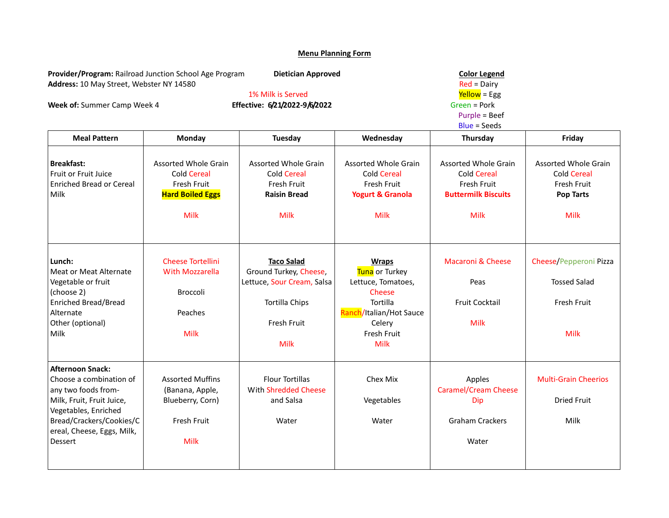**Provider/Program:** Railroad Junction School Age Program **Dietician Approved** Color Color Legend Color Legend Address: 10 May Street, Webster NY 14580 Address: 10 May Street, Webster NY 14580<br>1% Milk is Served and the same of the Mellow = Egg end and the Served served and the Served server of the Serve

**Week of:** Summer Camp Week 4

1% Milk is Served and the Served of the Served Media of the Served Served Served Served Served Served Served S<br>Green = Pork Purple = Beef

|                                                                                                     | <b>Blue = Seeds</b>                                                                                               |                                                                                                                                |                                                                                                        |                                                                                                     |
|-----------------------------------------------------------------------------------------------------|-------------------------------------------------------------------------------------------------------------------|--------------------------------------------------------------------------------------------------------------------------------|--------------------------------------------------------------------------------------------------------|-----------------------------------------------------------------------------------------------------|
| Monday                                                                                              | Tuesday                                                                                                           | Wednesday                                                                                                                      | Thursday                                                                                               | Friday                                                                                              |
| <b>Assorted Whole Grain</b><br><b>Cold Cereal</b><br>Fresh Fruit<br><b>Hard Boiled Eggs</b><br>Milk | <b>Assorted Whole Grain</b><br><b>Cold Cereal</b><br>Fresh Fruit<br><b>Raisin Bread</b><br><b>Milk</b>            | <b>Assorted Whole Grain</b><br><b>Cold Cereal</b><br>Fresh Fruit<br><b>Yogurt &amp; Granola</b><br><b>Milk</b>                 | <b>Assorted Whole Grain</b><br><b>Cold Cereal</b><br>Fresh Fruit<br><b>Buttermilk Biscuits</b><br>Milk | <b>Assorted Whole Grain</b><br><b>Cold Cereal</b><br>Fresh Fruit<br><b>Pop Tarts</b><br><b>Milk</b> |
| <b>Cheese Tortellini</b><br><b>With Mozzarella</b><br>Broccoli<br>Peaches<br>Milk                   | <b>Taco Salad</b><br>Ground Turkey, Cheese,<br>Lettuce, Sour Cream, Salsa<br><b>Tortilla Chips</b><br>Fresh Fruit | <b>Wraps</b><br>Tuna or Turkey<br>Lettuce, Tomatoes,<br>Cheese<br>Tortilla<br>Ranch/Italian/Hot Sauce<br>Celery<br>Fresh Fruit | <b>Macaroni &amp; Cheese</b><br>Peas<br><b>Fruit Cocktail</b><br><b>Milk</b>                           | Cheese/Pepperoni Pizza<br><b>Tossed Salad</b><br>Fresh Fruit<br><b>Milk</b>                         |
| <b>Assorted Muffins</b><br>(Banana, Apple,<br>Blueberry, Corn)<br>Fresh Fruit<br>Milk               | <b>Milk</b><br><b>Flour Tortillas</b><br>With Shredded Cheese<br>and Salsa<br>Water                               | <b>Milk</b><br>Chex Mix<br>Vegetables<br>Water                                                                                 | Apples<br><b>Caramel/Cream Cheese</b><br>Dip<br><b>Graham Crackers</b><br>Water                        | <b>Multi-Grain Cheerios</b><br><b>Dried Fruit</b><br>Milk                                           |
|                                                                                                     |                                                                                                                   |                                                                                                                                |                                                                                                        |                                                                                                     |